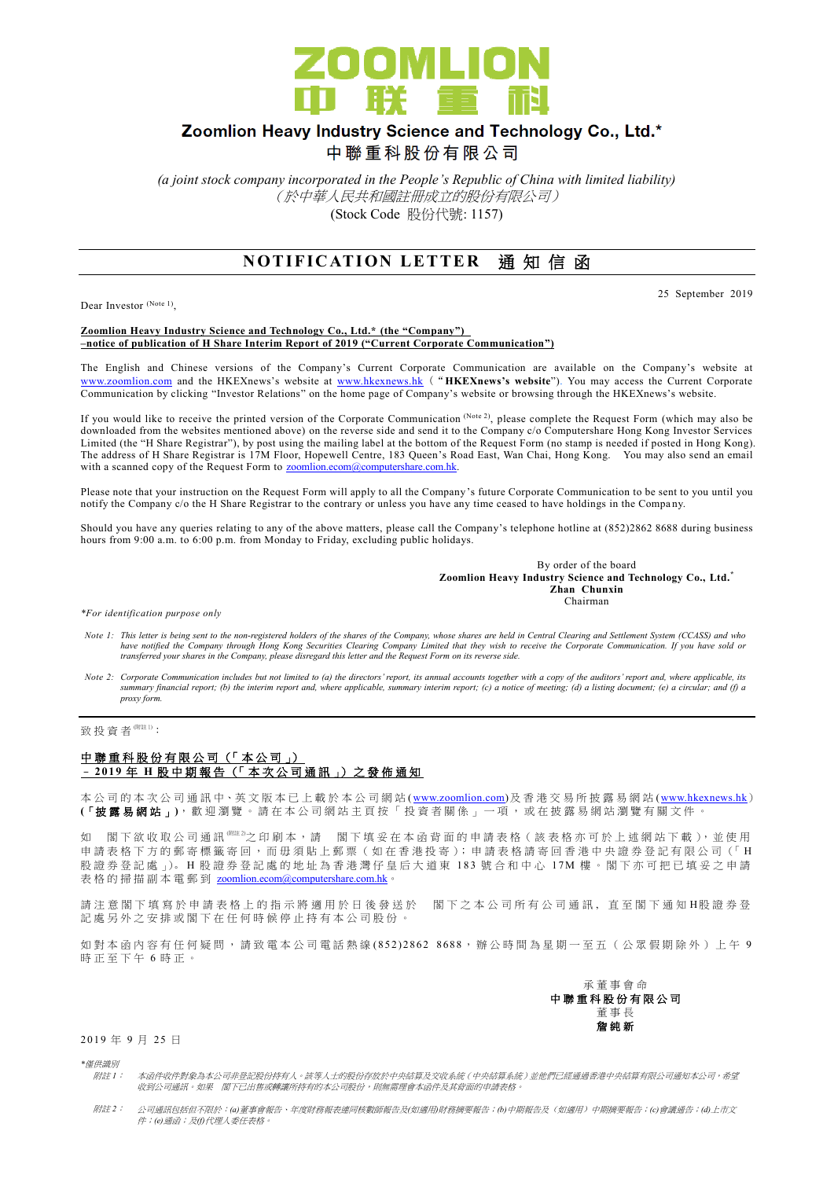

# Zoomlion Heavy Industry Science and Technology Co., Ltd.\*

中聯重科股份有限公司

*(a joint stock company incorporated in the People's Republic of China with limited liability)* (於中華人民共和國註冊成立的股份有限公司) (Stock Code 股份代號: 1157)

# **NOTIFICATION LETTER 通知信函**

Dear Investor (Note 1),

25 September 2019

#### **Zoomlion Heavy Industry Science and Technology Co., Ltd.\* (the "Company") –notice of publication of H Share Interim Report of 2019 ("Current Corporate Communication")**

The English and Chinese versions of the Company's Current Corporate Communication are available on the Company's website at [www.zoomlion.com](http://www.zoomlion.com/) and the HKEXnews's website at [www.hkexnews.hk](http://www.hkexnews.hk/) ("**HKEXnews's website**"). You may access the Current Corporate Communication by clicking "Investor Relations" on the home page of Company's website or browsing through the HKEXnews's website.

If you would like to receive the printed version of the Corporate Communication (Note 2), please complete the Request Form (which may also be downloaded from the websites mentioned above) on the reverse side and send it to the Company c/o Computershare Hong Kong Investor Services Limited (the "H Share Registrar"), by post using the mailing label at the bottom of the Request Form (no stamp is needed if posted in Hong Kong). The address of H Share Registrar is 17M Floor, Hopewell Centre, 183 Queen's Road East, Wan Chai, Hong Kong. You may also send an email with a scanned copy of the Request Form to [zoomlion.ecom@computershare.com.hk.](mailto:zoomlion.ecom@computershare.com.hk)

Please note that your instruction on the Request Form will apply to all the Company's future Corporate Communication to be sent to you until you notify the Company c/o the H Share Registrar to the contrary or unless you have any time ceased to have holdings in the Compa ny.

Should you have any queries relating to any of the above matters, please call the Company's telephone hotline at (852)2862 8688 during business hours from 9:00 a.m. to 6:00 p.m. from Monday to Friday, excluding public holidays.

> By order of the board **Zoomlion Heavy Industry Science and Technology Co., Ltd.\* Zhan Chunxin** Chairman

*\*For identification purpose only*

- *Note 1: This letter is being sent to the non-registered holders of the shares of the Company, whose shares are held in Central Clearing and Settlement System (CCASS) and who*  have notified the Company through Hong Kong Securities Clearing Company Limited that they wish to receive the Corporate Communication. If you have sold or<br>transferred your shares in the Company, please disregard this lette
- *Note 2: Corporate Communication includes but not limited to (a) the directors' report, its annual accounts together with a copy of the auditors' report and, where applicable, its summary financial report; (b) the interim report and, where applicable, summary interim report; (c) a notice of meeting; (d) a listing document; (e) a circular; and (f) a proxy form.*

致 投 資 者 <sup>(附註 1)</sup>:

#### 中聯重科股份有限公司 (「本公司」) – **2 01 9** 年 **H** 股 中 期 報 告 (「 本 次 公 司 通 訊 」) 之 發 佈 通 知

本公司的 本 次 公 司 通 訊 中、英 文 版 本 已 上 載於本 公 司 網 站 [\(www.zoomlion.com\)](http://www.zoomlion.com/)及香港交易所披露易網站 [\(www.hkexnews.hk](http://www.hkexnews.hk/)) **(**「披露易網站 」**)**,歡迎瀏覽。 請 在 本 公 司 網 站 主 頁 按 「 投 資 者 關 係 」 一 項 , 或 在 披 露 易 網 站 瀏 覽 有 關 文 件 。

如 閣下欲收取公司通訊<sup>《睢》</sup>之印刷本,請 閣下填妥在本函背面的申請表格(該表格亦可於上述網站下載),並使用 申請表格下方的郵寄標籤寄回,而毋須貼上郵票 (如在香港投寄); 申請表格請寄回香港中央證券登記有限公司 (「H 股證券登記處 心。H 股證券登記處的地址為香港灣仔皇后大道東 183號合和中心 17M 樓。閣下亦可把已填妥之申請 表格的掃描副本電郵到 [zoomlion.ecom@computershare.com.hk](mailto:zoomlion.ecom@computershare.com.hk)

請注 意 閣 下 填 寫 於 申 請 表 格 上 的 指 示 將 適 用 於 日 後 發 送 於 图 下 之 本 公 司 所 有 公 司 通 訊 , 直 至 閣 下 通 知 H股 證 券 登 記處另外之安排或閣下在任何時候停止持有本公司股份。

如對本函內容有任何疑問,請致電本公司電話熱線 (852) 2862 8688,辦公時間為星期一至五(公眾假期除外)上午 9 時正至下午 6 時正。



2019 年 9 月 25 日

*\**僅供識別

- 附註 *1*: 本函件收件對象為本公司非登記股份持有人。該等人士的股份存放於中央結算及交收系統(中央結算系統)並他們已經通過香港中央結算有限公司通知本公司,希望 收到公司通訊。如果 閣下已出售或轉讓所持有的本公司股份,則無需理會本函件及其背面的申請表格。
- 附註 *2*: 公司通訊包括但不限於:*(a)*董事會報告、年度財務報表連同核數師報告及*(*如適用*)*財務摘要報告;*(b)*中期報告及(如適用)中期摘要報告;*(c)*會議通告;*(d)*上市文 件;*(e)*通函;及*(f)*代理人委任表格。